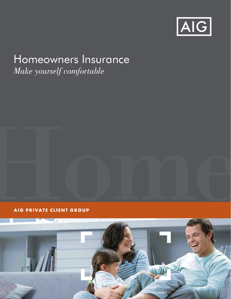

# Homeowners Insurance

*Make yourself comfortable*

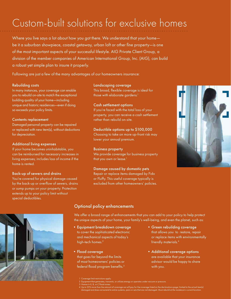## Custom-built solutions for exclusive homes

Where you live says a lot about how you got there. We understand that your home be it a suburban showpiece, coastal getaway, urban loft or other fine property—is one of the most important aspects of your successful lifestyle. AIG Private Client Group, a division of the member companies of American International Group, Inc. (AIG), can build a robust yet simple plan to insure it properly.

Following are just a few of the many advantages of our homeowners insurance:

#### Rebuilding costs

In many instances, your coverage can enable you to rebuild on-site to match the exceptional building quality of your home—including unique and historic residences—even if doing so exceeds your policy limits.

#### Contents replacement

Damaged personal property can be repaired or replaced with new item(s), without deductions for depreciation.

#### Additional living expenses

If your home becomes uninhabitable, you can be reimbursed for necessary increases in living expenses; includes loss of income if the home is rented.

#### Back-up of sewers and drains

You're covered for physical damage caused by the back-up or overflow of sewers, drains or sump pumps on your property. Protection extends up to your policy limit without special deductibles.

#### Landscaping coverage

This broad, flexible coverage is ideal for those with elaborate gardens.<sup>1</sup>

#### Cash settlement options

If you're faced with the total loss of your property, you can receive a cash settlement rather than rebuild on-site.

#### Deductible options up to \$100,000

Choosing to take on more up-front risk may lower your annual premium.

#### Business property

We provide coverage for business property that you own or lease.<sup>1</sup>

#### Damage caused by domestic pets

Repair or replace items damaged by Fido or Fluffy. This useful coverage typically is excluded from other homeowners' policies.



#### Optional policy enhancements

We offer a broad range of enhancements that you can add to your policy to help protect the unique aspects of your home, your family's well-being, and even the planet, such as:

- •Equipment breakdown coverage to cover the sophisticated electronic and mechanical aspects of today's high-tech homes.<sup>2</sup>
- Flood coverage that goes far beyond the limits of most homeowners' policies or federal flood program benefits.3
- •Green rebuilding coverage that allows you to restore, repair or replace items with environmentally friendly materials.4
- Additional coverage options are available that your insurance advisor would be happy to share with you.

- age limit restrictions apply
- 2 Equipment that generates, transmits, or utilizes energy or operates under vacuum or pressure. 3 Homes in X, B, or C flood zones.
- 
- 4 Up to 20% more than the amount of coverage we will pay for the coverage listed on the declarations page; limited to the actual item(s)<br>damaged and does not extend to entire systems, pairs or sets that are not damaged. Mu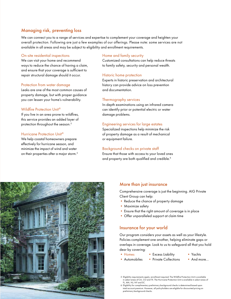#### Managing risk, preventing loss

We can connect you to a range of services and expertise to complement your coverage and heighten your overall protection. Following are just a few examples of our offerings. Please note: some services are not available in all areas and may be subject to eligibility and enrollment requirements.

#### On-site residential inspections

We can visit your home and recommend ways to reduce the chance of having a claim, and ensure that your coverage is sufficient to repair structural damage should it occur.

#### Protection from water damage

Leaks are one of the most common causes of property damage, but with proper guidance you can lessen your home's vulnerability.

#### Wildfire Protection Unit®

If you live in an area prone to wildfires, this service provides an added layer of protection throughout the season.<sup>5</sup>

#### Hurricane Protection Unit®

We help coastal homeowners prepare effectively for hurricane season, and minimize the impact of wind and water on their properties after a major storm.<sup>5</sup>

#### Home and family security

Customized consultations can help reduce threats to family safety, security and personal wealth.

#### Historic home protection

Experts in historic preservation and architectural history can provide advice on loss prevention and documentation.

#### Thermography services

In-depth examinations using an infrared camera can identify prior or potential electric or water damage problems.

#### Engineering services for large estates

Specialized inspections help minimize the risk of property damage as a result of mechanical or equipment failure.

#### Background checks on private staff

Ensure that those with access to your loved ones and property are both qualified and credible.<sup>6</sup>



#### More than just insurance

Comprehensive coverage is just the beginning. AIG Private Client Group can help:

- Reduce the chance of property damage
- Maximize safety
- Ensure that the right amount of coverage is in place
- Offer unparalleled support at claim time

#### Insurance for your world

Our program considers your assets as well as your lifestyle. Policies complement one another, helping eliminate gaps or overlaps in coverage. Look to us to safeguard all that you hold dear by covering:

- Homes
- Excess Liability
- Yachts • And more…
- Automobiles • Private Collections
	-

<sup>5</sup> Eligibility requirements apply; enrollment required. The Wildfire Protection Unit is available in select areas of CA, CO and TX. The Hurricane Protection Unit is available in select areas of FL, MA, NJ, NY and SC.

<sup>6</sup> Eligibility for complimentary preliminary background checks is determined based upon total account premium. However, all policyholders are eligible for discounted pricing on preliminary background checks.